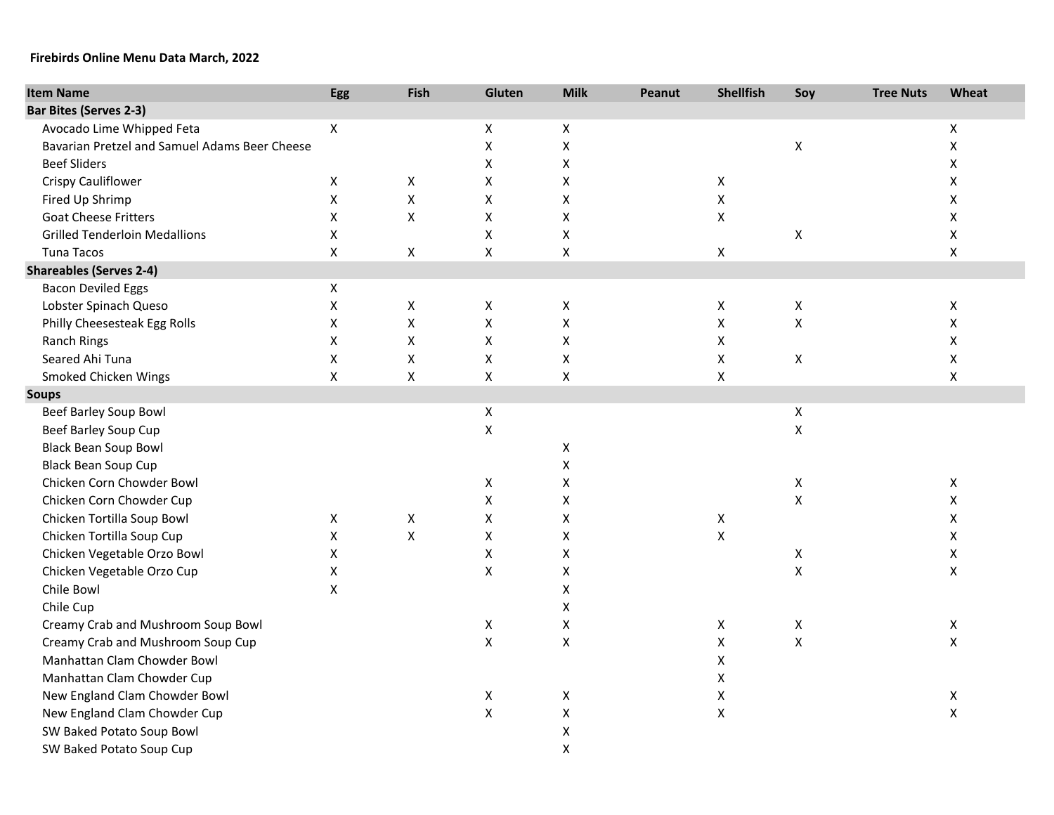## **Firebirds Online Menu Data March, 2022**

| <b>Item Name</b>                              | <b>Egg</b>     | Fish                      | Gluten             | <b>Milk</b>        | Peanut | <b>Shellfish</b>   | Soy                | <b>Tree Nuts</b> | Wheat              |
|-----------------------------------------------|----------------|---------------------------|--------------------|--------------------|--------|--------------------|--------------------|------------------|--------------------|
| <b>Bar Bites (Serves 2-3)</b>                 |                |                           |                    |                    |        |                    |                    |                  |                    |
| Avocado Lime Whipped Feta                     | $\mathsf{X}$   |                           | X                  | X                  |        |                    |                    |                  | $\pmb{\mathsf{X}}$ |
| Bavarian Pretzel and Samuel Adams Beer Cheese |                |                           | Χ                  | Χ                  |        |                    | Χ                  |                  | $\pmb{\mathsf{X}}$ |
| <b>Beef Sliders</b>                           |                |                           | Χ                  | X                  |        |                    |                    |                  | X                  |
| Crispy Cauliflower                            | X              | $\boldsymbol{\mathsf{X}}$ | X                  | X                  |        | X                  |                    |                  | X                  |
| Fired Up Shrimp                               | X              | $\pmb{\mathsf{X}}$        | X                  | X                  |        | Χ                  |                    |                  | X                  |
| <b>Goat Cheese Fritters</b>                   | X              | X                         | Χ                  | X                  |        | Χ                  |                    |                  | $\pmb{\times}$     |
| <b>Grilled Tenderloin Medallions</b>          | X              |                           | X                  | $\pmb{\mathsf{X}}$ |        |                    | X                  |                  | X                  |
| Tuna Tacos                                    | X              | $\mathsf{X}$              | X                  | $\pmb{\mathsf{X}}$ |        | X                  |                    |                  | $\pmb{\times}$     |
| <b>Shareables (Serves 2-4)</b>                |                |                           |                    |                    |        |                    |                    |                  |                    |
| <b>Bacon Deviled Eggs</b>                     | X              |                           |                    |                    |        |                    |                    |                  |                    |
| Lobster Spinach Queso                         | X              | $\pmb{\mathsf{X}}$        | X                  | Χ                  |        | Χ                  | X                  |                  | X                  |
| Philly Cheesesteak Egg Rolls                  | X              | $\pmb{\mathsf{X}}$        | X                  | $\pmb{\mathsf{X}}$ |        | $\pmb{\mathsf{X}}$ | $\pmb{\mathsf{X}}$ |                  | $\pmb{\mathsf{X}}$ |
| Ranch Rings                                   | X              | $\pmb{\mathsf{X}}$        | Χ                  | $\pmb{\mathsf{X}}$ |        | X                  |                    |                  | $\pmb{\mathsf{X}}$ |
| Seared Ahi Tuna                               | $\mathsf X$    | $\pmb{\mathsf{X}}$        | $\pmb{\mathsf{X}}$ | $\mathsf X$        |        | X                  | X                  |                  | $\pmb{\mathsf{X}}$ |
| Smoked Chicken Wings                          | $\pmb{\times}$ | $\mathsf{X}$              | X                  | $\pmb{\mathsf{X}}$ |        | X                  |                    |                  | $\pmb{\mathsf{X}}$ |
| <b>Soups</b>                                  |                |                           |                    |                    |        |                    |                    |                  |                    |
| Beef Barley Soup Bowl                         |                |                           | X                  |                    |        |                    | X                  |                  |                    |
| Beef Barley Soup Cup                          |                |                           | X                  |                    |        |                    | X                  |                  |                    |
| <b>Black Bean Soup Bowl</b>                   |                |                           |                    | X                  |        |                    |                    |                  |                    |
| <b>Black Bean Soup Cup</b>                    |                |                           |                    | Χ                  |        |                    |                    |                  |                    |
| Chicken Corn Chowder Bowl                     |                |                           | X                  | X                  |        |                    | X                  |                  | X                  |
| Chicken Corn Chowder Cup                      |                |                           | X                  | Χ                  |        |                    | $\pmb{\mathsf{X}}$ |                  | X                  |
| Chicken Tortilla Soup Bowl                    | X              | $\mathsf{X}$              | X                  | X                  |        | X                  |                    |                  | X                  |
| Chicken Tortilla Soup Cup                     | $\pmb{\times}$ | $\boldsymbol{\mathsf{X}}$ | X                  | Χ                  |        | $\pmb{\mathsf{X}}$ |                    |                  | X                  |
| Chicken Vegetable Orzo Bowl                   | X              |                           | X                  | Χ                  |        |                    | X                  |                  | $\mathsf X$        |
| Chicken Vegetable Orzo Cup                    | $\mathsf X$    |                           | Χ                  | Χ                  |        |                    | $\pmb{\mathsf{X}}$ |                  | $\pmb{\mathsf{X}}$ |
| Chile Bowl                                    | $\pmb{\times}$ |                           |                    | $\pmb{\mathsf{X}}$ |        |                    |                    |                  |                    |
| Chile Cup                                     |                |                           |                    | $\pmb{\mathsf{X}}$ |        |                    |                    |                  |                    |
| Creamy Crab and Mushroom Soup Bowl            |                |                           | X                  | $\mathsf X$        |        | X                  | X                  |                  | $\mathsf X$        |
| Creamy Crab and Mushroom Soup Cup             |                |                           | $\pmb{\mathsf{X}}$ | $\mathsf X$        |        | $\pmb{\mathsf{X}}$ | $\pmb{\mathsf{X}}$ |                  | $\pmb{\mathsf{X}}$ |
| Manhattan Clam Chowder Bowl                   |                |                           |                    |                    |        | Χ                  |                    |                  |                    |
| Manhattan Clam Chowder Cup                    |                |                           |                    |                    |        | Χ                  |                    |                  |                    |
| New England Clam Chowder Bowl                 |                |                           | X                  | X                  |        | $\pmb{\mathsf{X}}$ |                    |                  | $\pmb{\mathsf{X}}$ |
| New England Clam Chowder Cup                  |                |                           | X                  | X                  |        | $\pmb{\mathsf{X}}$ |                    |                  | $\pmb{\mathsf{X}}$ |
| SW Baked Potato Soup Bowl                     |                |                           |                    | X                  |        |                    |                    |                  |                    |
| SW Baked Potato Soup Cup                      |                |                           |                    | X                  |        |                    |                    |                  |                    |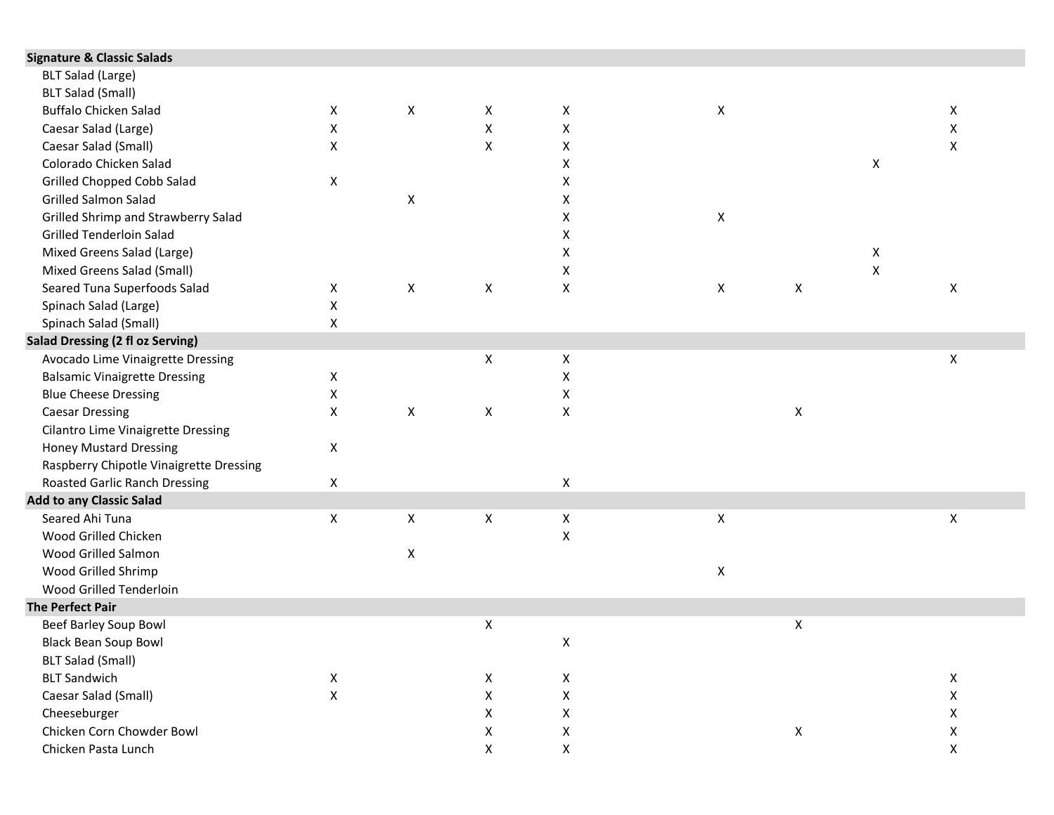| X            | $\pmb{\mathsf{X}}$ | X | X                  | X |                    |   | X                  |  |
|--------------|--------------------|---|--------------------|---|--------------------|---|--------------------|--|
| X            |                    | X | $\pmb{\mathsf{X}}$ |   |                    |   | X                  |  |
| X            |                    | X | X                  |   |                    |   | X                  |  |
|              |                    |   | $\pmb{\mathsf{X}}$ |   |                    | X |                    |  |
| X            |                    |   | X                  |   |                    |   |                    |  |
|              | $\pmb{\times}$     |   | X                  |   |                    |   |                    |  |
|              |                    |   | X                  | X |                    |   |                    |  |
|              |                    |   | $\pmb{\mathsf{X}}$ |   |                    |   |                    |  |
|              |                    |   | X                  |   |                    | X |                    |  |
|              |                    |   | X                  |   |                    | X |                    |  |
| X            | X                  | X | X                  | X | X                  |   | X                  |  |
| X            |                    |   |                    |   |                    |   |                    |  |
| X            |                    |   |                    |   |                    |   |                    |  |
|              |                    |   |                    |   |                    |   |                    |  |
|              |                    | X | $\pmb{\times}$     |   |                    |   | X                  |  |
| X            |                    |   | X                  |   |                    |   |                    |  |
| X            |                    |   | X                  |   |                    |   |                    |  |
| X            | $\mathsf X$        | X | $\pmb{\mathsf{X}}$ |   | Χ                  |   |                    |  |
|              |                    |   |                    |   |                    |   |                    |  |
| X            |                    |   |                    |   |                    |   |                    |  |
|              |                    |   |                    |   |                    |   |                    |  |
| X            |                    |   | $\pmb{\mathsf{X}}$ |   |                    |   |                    |  |
|              |                    |   |                    |   |                    |   |                    |  |
| X            | X                  | X | X                  | X |                    |   | X                  |  |
|              |                    |   | X                  |   |                    |   |                    |  |
|              | Χ                  |   |                    |   |                    |   |                    |  |
|              |                    |   |                    | X |                    |   |                    |  |
|              |                    |   |                    |   |                    |   |                    |  |
|              |                    |   |                    |   |                    |   |                    |  |
|              |                    | X |                    |   | Χ                  |   |                    |  |
|              |                    |   | X                  |   |                    |   |                    |  |
|              |                    |   |                    |   |                    |   |                    |  |
| X            |                    | X | X                  |   |                    |   | $\mathsf X$        |  |
| $\mathsf{X}$ |                    | X | X                  |   |                    |   | X                  |  |
|              |                    | X | $\pmb{\mathsf{X}}$ |   |                    |   | $\pmb{\mathsf{X}}$ |  |
|              |                    | X | Χ                  |   | $\pmb{\mathsf{X}}$ |   | X                  |  |
|              |                    | X | X                  |   |                    |   | X                  |  |
|              |                    |   |                    |   |                    |   |                    |  |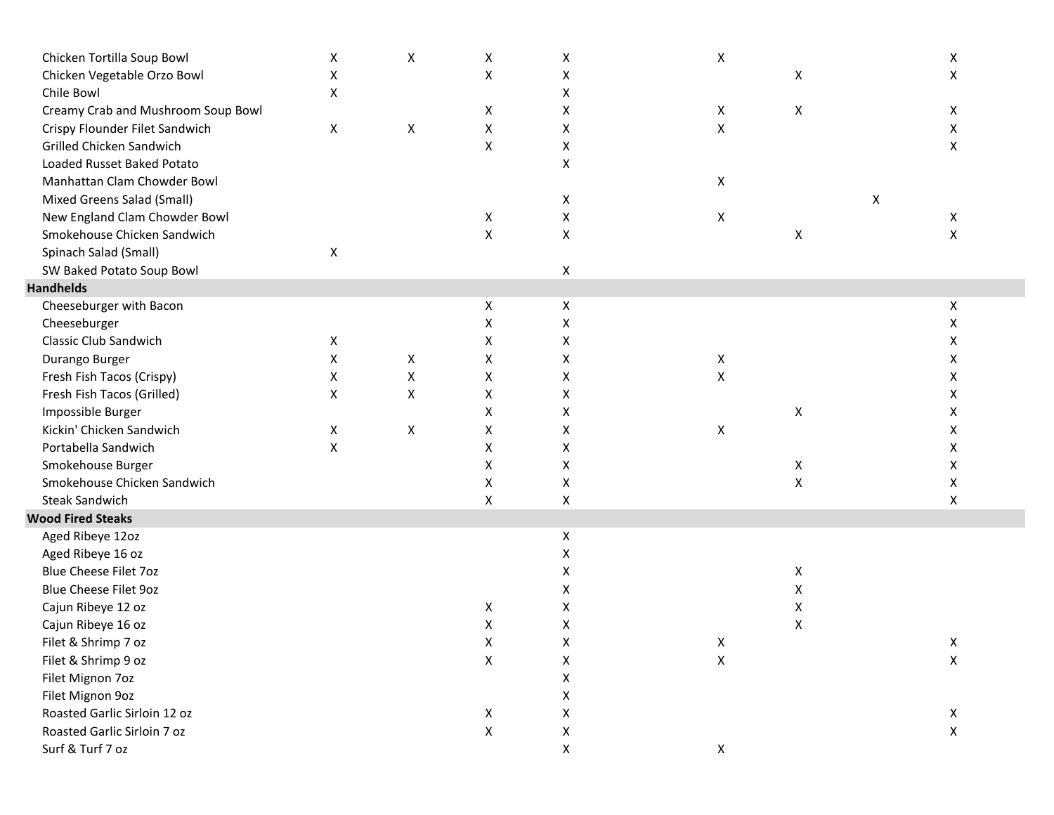| Chicken Tortilla Soup Bowl         | X | $\pmb{\mathsf{X}}$ | X                         | X                  | Χ                  |   | Χ                  |
|------------------------------------|---|--------------------|---------------------------|--------------------|--------------------|---|--------------------|
| Chicken Vegetable Orzo Bowl        | X |                    | $\pmb{\mathsf{X}}$        | X                  |                    | X | X                  |
| Chile Bowl                         | X |                    |                           | Χ                  |                    |   |                    |
| Creamy Crab and Mushroom Soup Bowl |   |                    | X                         | Χ                  | X                  | X | X                  |
| Crispy Flounder Filet Sandwich     | X | $\pmb{\times}$     | X                         | Χ                  | X                  |   | X                  |
| Grilled Chicken Sandwich           |   |                    | X                         | X                  |                    |   | X                  |
| Loaded Russet Baked Potato         |   |                    |                           | Χ                  |                    |   |                    |
| Manhattan Clam Chowder Bowl        |   |                    |                           |                    | X                  |   |                    |
| Mixed Greens Salad (Small)         |   |                    |                           | X                  |                    |   | X                  |
| New England Clam Chowder Bowl      |   |                    | X                         | X                  | X                  |   | X                  |
| Smokehouse Chicken Sandwich        |   |                    | X                         | $\pmb{\mathsf{X}}$ |                    | X | X                  |
| Spinach Salad (Small)              | X |                    |                           |                    |                    |   |                    |
| SW Baked Potato Soup Bowl          |   |                    |                           | $\pmb{\mathsf{X}}$ |                    |   |                    |
| <b>Handhelds</b>                   |   |                    |                           |                    |                    |   |                    |
| Cheeseburger with Bacon            |   |                    | X                         | X                  |                    |   | X                  |
| Cheeseburger                       |   |                    | X                         | Χ                  |                    |   | X                  |
| <b>Classic Club Sandwich</b>       | X |                    | Χ                         | X                  |                    |   | X                  |
| Durango Burger                     | X | X                  | X                         | X                  | X                  |   | X                  |
| Fresh Fish Tacos (Crispy)          | X | X                  | X                         | X                  | $\pmb{\mathsf{X}}$ |   | Χ                  |
| Fresh Fish Tacos (Grilled)         | X | X                  | Χ                         | Χ                  |                    |   | X                  |
| Impossible Burger                  |   |                    | X                         | Χ                  |                    | X | X                  |
| Kickin' Chicken Sandwich           | X | X                  | X                         | Χ                  | X                  |   | X                  |
| Portabella Sandwich                | X |                    | X                         | Χ                  |                    |   | X                  |
| Smokehouse Burger                  |   |                    | X                         | Χ                  |                    | X | X                  |
| Smokehouse Chicken Sandwich        |   |                    | X                         | Χ                  |                    | X | X                  |
| <b>Steak Sandwich</b>              |   |                    | $\boldsymbol{\mathsf{X}}$ | $\pmb{\mathsf{X}}$ |                    |   | $\pmb{\mathsf{X}}$ |
| <b>Wood Fired Steaks</b>           |   |                    |                           |                    |                    |   |                    |
| Aged Ribeye 12oz                   |   |                    |                           | X                  |                    |   |                    |
| Aged Ribeye 16 oz                  |   |                    |                           | X                  |                    |   |                    |
| <b>Blue Cheese Filet 7oz</b>       |   |                    |                           | Χ                  |                    | X |                    |
| Blue Cheese Filet 9oz              |   |                    |                           | Χ                  |                    | X |                    |
| Cajun Ribeye 12 oz                 |   |                    | X                         | Χ                  |                    | X |                    |
| Cajun Ribeye 16 oz                 |   |                    | X                         | Χ                  |                    | X |                    |
| Filet & Shrimp 7 oz                |   |                    | Χ                         | Χ                  | X                  |   | Χ                  |
| Filet & Shrimp 9 oz                |   |                    | X                         | X                  | $\pmb{\mathsf{X}}$ |   | $\mathsf X$        |
| Filet Mignon 7oz                   |   |                    |                           | Χ                  |                    |   |                    |
| Filet Mignon 9oz                   |   |                    |                           | х                  |                    |   |                    |
| Roasted Garlic Sirloin 12 oz       |   |                    | X                         | X                  |                    |   | X                  |
| Roasted Garlic Sirloin 7 oz        |   |                    | $\pmb{\mathsf{X}}$        | X                  |                    |   | $\pmb{\mathsf{X}}$ |
| Surf & Turf 7 oz                   |   |                    |                           | X                  | $\mathsf X$        |   |                    |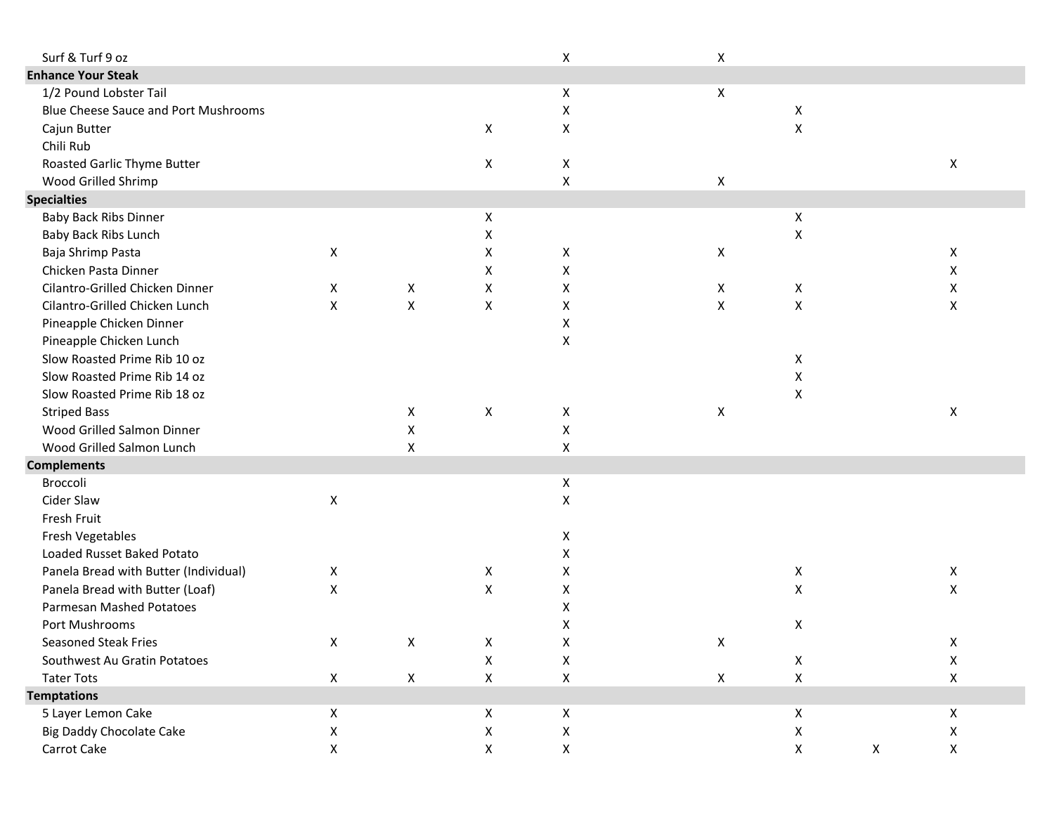| Surf & Turf 9 oz                      |                    |                    |                    | $\pmb{\mathsf{X}}$ | Χ           |                    |   |                    |  |
|---------------------------------------|--------------------|--------------------|--------------------|--------------------|-------------|--------------------|---|--------------------|--|
| <b>Enhance Your Steak</b>             |                    |                    |                    |                    |             |                    |   |                    |  |
| 1/2 Pound Lobster Tail                |                    |                    |                    | $\pmb{\mathsf{X}}$ | X           |                    |   |                    |  |
| Blue Cheese Sauce and Port Mushrooms  |                    |                    |                    | X                  |             | X                  |   |                    |  |
| Cajun Butter                          |                    |                    | X                  | $\pmb{\mathsf{X}}$ |             | X                  |   |                    |  |
| Chili Rub                             |                    |                    |                    |                    |             |                    |   |                    |  |
| Roasted Garlic Thyme Butter           |                    |                    | X                  | $\pmb{\mathsf{X}}$ |             |                    |   | $\pmb{\mathsf{X}}$ |  |
| Wood Grilled Shrimp                   |                    |                    |                    | X                  | X           |                    |   |                    |  |
| <b>Specialties</b>                    |                    |                    |                    |                    |             |                    |   |                    |  |
| <b>Baby Back Ribs Dinner</b>          |                    |                    | X                  |                    |             | X                  |   |                    |  |
| Baby Back Ribs Lunch                  |                    |                    | X                  |                    |             | X                  |   |                    |  |
| Baja Shrimp Pasta                     | Χ                  |                    | X                  | X                  | X           |                    |   | X                  |  |
| Chicken Pasta Dinner                  |                    |                    | X                  | X                  |             |                    |   | X                  |  |
| Cilantro-Grilled Chicken Dinner       | X                  | X                  | X                  | X                  | X           | X                  |   | X                  |  |
| Cilantro-Grilled Chicken Lunch        | X                  | X                  | X                  | Χ                  | X           | $\pmb{\mathsf{X}}$ |   | X                  |  |
| Pineapple Chicken Dinner              |                    |                    |                    | $\pmb{\mathsf{X}}$ |             |                    |   |                    |  |
| Pineapple Chicken Lunch               |                    |                    |                    | $\pmb{\mathsf{X}}$ |             |                    |   |                    |  |
| Slow Roasted Prime Rib 10 oz          |                    |                    |                    |                    |             | X                  |   |                    |  |
| Slow Roasted Prime Rib 14 oz          |                    |                    |                    |                    |             | X                  |   |                    |  |
| Slow Roasted Prime Rib 18 oz          |                    |                    |                    |                    |             | X                  |   |                    |  |
| <b>Striped Bass</b>                   |                    | X                  | $\pmb{\mathsf{X}}$ | X                  | X           |                    |   | $\pmb{\mathsf{X}}$ |  |
| Wood Grilled Salmon Dinner            |                    | X                  |                    | X                  |             |                    |   |                    |  |
| Wood Grilled Salmon Lunch             |                    | $\pmb{\mathsf{X}}$ |                    | $\pmb{\mathsf{X}}$ |             |                    |   |                    |  |
| <b>Complements</b>                    |                    |                    |                    |                    |             |                    |   |                    |  |
| Broccoli                              |                    |                    |                    | $\pmb{\mathsf{X}}$ |             |                    |   |                    |  |
| Cider Slaw                            | $\pmb{\mathsf{X}}$ |                    |                    | X                  |             |                    |   |                    |  |
| Fresh Fruit                           |                    |                    |                    |                    |             |                    |   |                    |  |
| Fresh Vegetables                      |                    |                    |                    | X                  |             |                    |   |                    |  |
| Loaded Russet Baked Potato            |                    |                    |                    | X                  |             |                    |   |                    |  |
| Panela Bread with Butter (Individual) | X                  |                    | X                  | Χ                  |             | X                  |   | X                  |  |
| Panela Bread with Butter (Loaf)       | X                  |                    | $\pmb{\mathsf{X}}$ | Χ                  |             | X                  |   | $\pmb{\mathsf{X}}$ |  |
| Parmesan Mashed Potatoes              |                    |                    |                    | Χ                  |             |                    |   |                    |  |
| Port Mushrooms                        |                    |                    |                    | χ                  |             | X                  |   |                    |  |
| Seasoned Steak Fries                  | X                  | X                  | Χ                  | X                  | Χ           |                    |   | Χ                  |  |
| Southwest Au Gratin Potatoes          |                    |                    | X                  | $\pmb{\mathsf{X}}$ |             | X                  |   | $\pmb{\mathsf{X}}$ |  |
| <b>Tater Tots</b>                     | X                  | $\mathsf X$        | X                  | $\pmb{\mathsf{X}}$ | $\mathsf X$ | X                  |   | X                  |  |
| <b>Temptations</b>                    |                    |                    |                    |                    |             |                    |   |                    |  |
| 5 Layer Lemon Cake                    | X                  |                    | X                  | X                  |             | $\mathsf X$        |   | X                  |  |
| <b>Big Daddy Chocolate Cake</b>       | Χ                  |                    | X                  | X                  |             | X                  |   | X                  |  |
| Carrot Cake                           | X                  |                    | X                  | $\pmb{\mathsf{X}}$ |             | X                  | X | X                  |  |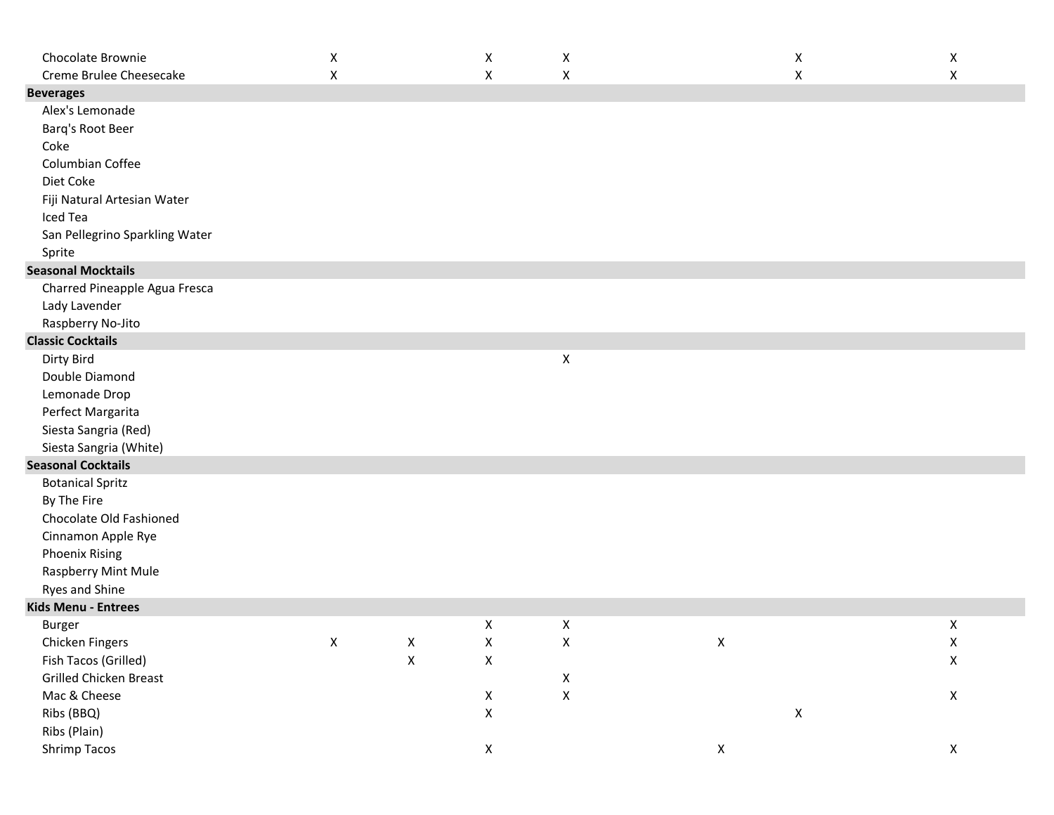| Chocolate Brownie              | X                  |             | X                  | X                  |             | X           | X                  |
|--------------------------------|--------------------|-------------|--------------------|--------------------|-------------|-------------|--------------------|
| Creme Brulee Cheesecake        | $\pmb{\mathsf{X}}$ |             | X                  | X                  |             | X           | $\pmb{\mathsf{X}}$ |
| <b>Beverages</b>               |                    |             |                    |                    |             |             |                    |
| Alex's Lemonade                |                    |             |                    |                    |             |             |                    |
| Barq's Root Beer               |                    |             |                    |                    |             |             |                    |
| Coke                           |                    |             |                    |                    |             |             |                    |
| Columbian Coffee               |                    |             |                    |                    |             |             |                    |
| Diet Coke                      |                    |             |                    |                    |             |             |                    |
| Fiji Natural Artesian Water    |                    |             |                    |                    |             |             |                    |
| Iced Tea                       |                    |             |                    |                    |             |             |                    |
| San Pellegrino Sparkling Water |                    |             |                    |                    |             |             |                    |
| Sprite                         |                    |             |                    |                    |             |             |                    |
| <b>Seasonal Mocktails</b>      |                    |             |                    |                    |             |             |                    |
| Charred Pineapple Agua Fresca  |                    |             |                    |                    |             |             |                    |
| Lady Lavender                  |                    |             |                    |                    |             |             |                    |
| Raspberry No-Jito              |                    |             |                    |                    |             |             |                    |
| <b>Classic Cocktails</b>       |                    |             |                    |                    |             |             |                    |
| Dirty Bird                     |                    |             |                    | X                  |             |             |                    |
| Double Diamond                 |                    |             |                    |                    |             |             |                    |
| Lemonade Drop                  |                    |             |                    |                    |             |             |                    |
| Perfect Margarita              |                    |             |                    |                    |             |             |                    |
| Siesta Sangria (Red)           |                    |             |                    |                    |             |             |                    |
| Siesta Sangria (White)         |                    |             |                    |                    |             |             |                    |
| <b>Seasonal Cocktails</b>      |                    |             |                    |                    |             |             |                    |
| <b>Botanical Spritz</b>        |                    |             |                    |                    |             |             |                    |
| By The Fire                    |                    |             |                    |                    |             |             |                    |
| Chocolate Old Fashioned        |                    |             |                    |                    |             |             |                    |
| Cinnamon Apple Rye             |                    |             |                    |                    |             |             |                    |
| <b>Phoenix Rising</b>          |                    |             |                    |                    |             |             |                    |
| Raspberry Mint Mule            |                    |             |                    |                    |             |             |                    |
| Ryes and Shine                 |                    |             |                    |                    |             |             |                    |
| Kids Menu - Entrees            |                    |             |                    |                    |             |             |                    |
| Burger                         |                    |             | X                  | $\pmb{\mathsf{X}}$ |             |             | $\pmb{\mathsf{X}}$ |
| Chicken Fingers                | X                  | X           | X                  | X                  | X           |             | X                  |
| Fish Tacos (Grilled)           |                    | $\mathsf X$ | $\mathsf X$        |                    |             |             | $\mathsf X$        |
| Grilled Chicken Breast         |                    |             |                    | $\mathsf X$        |             |             |                    |
| Mac & Cheese                   |                    |             | $\mathsf X$        | $\mathsf X$        |             |             | $\mathsf X$        |
| Ribs (BBQ)                     |                    |             | $\pmb{\mathsf{X}}$ |                    |             | $\mathsf X$ |                    |
| Ribs (Plain)                   |                    |             |                    |                    |             |             |                    |
| Shrimp Tacos                   |                    |             | $\pmb{\mathsf{X}}$ |                    | $\mathsf X$ |             | $\mathsf X$        |